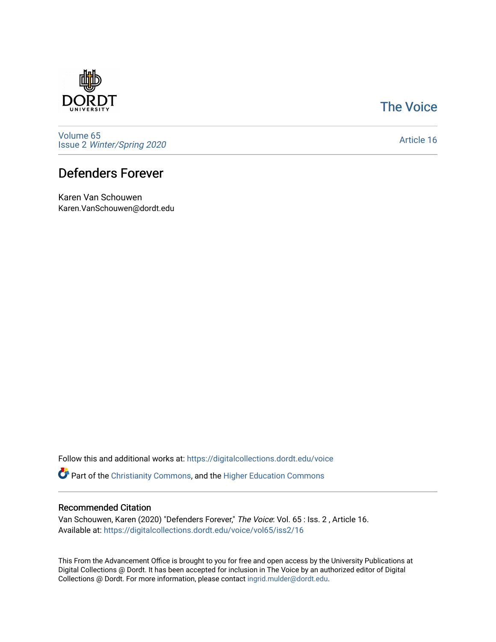

### [The Voice](https://digitalcollections.dordt.edu/voice)

[Volume 65](https://digitalcollections.dordt.edu/voice/vol65) Issue 2 [Winter/Spring 2020](https://digitalcollections.dordt.edu/voice/vol65/iss2) 

[Article 16](https://digitalcollections.dordt.edu/voice/vol65/iss2/16) 

## Defenders Forever

Karen Van Schouwen Karen.VanSchouwen@dordt.edu

Follow this and additional works at: [https://digitalcollections.dordt.edu/voice](https://digitalcollections.dordt.edu/voice?utm_source=digitalcollections.dordt.edu%2Fvoice%2Fvol65%2Fiss2%2F16&utm_medium=PDF&utm_campaign=PDFCoverPages) 

Part of the [Christianity Commons,](http://network.bepress.com/hgg/discipline/1181?utm_source=digitalcollections.dordt.edu%2Fvoice%2Fvol65%2Fiss2%2F16&utm_medium=PDF&utm_campaign=PDFCoverPages) and the [Higher Education Commons](http://network.bepress.com/hgg/discipline/1245?utm_source=digitalcollections.dordt.edu%2Fvoice%2Fvol65%2Fiss2%2F16&utm_medium=PDF&utm_campaign=PDFCoverPages) 

#### Recommended Citation

Van Schouwen, Karen (2020) "Defenders Forever," The Voice: Vol. 65 : Iss. 2 , Article 16. Available at: [https://digitalcollections.dordt.edu/voice/vol65/iss2/16](https://digitalcollections.dordt.edu/voice/vol65/iss2/16?utm_source=digitalcollections.dordt.edu%2Fvoice%2Fvol65%2Fiss2%2F16&utm_medium=PDF&utm_campaign=PDFCoverPages)

This From the Advancement Office is brought to you for free and open access by the University Publications at Digital Collections @ Dordt. It has been accepted for inclusion in The Voice by an authorized editor of Digital Collections @ Dordt. For more information, please contact [ingrid.mulder@dordt.edu.](mailto:ingrid.mulder@dordt.edu)